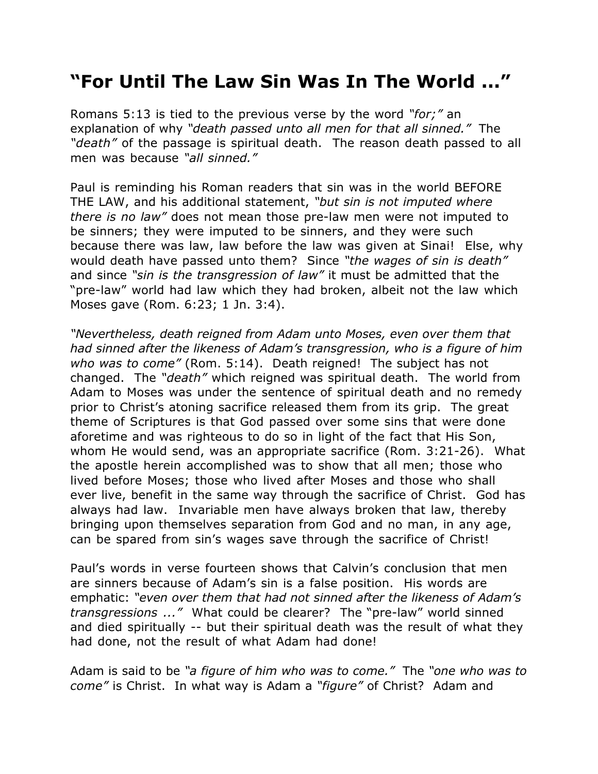## **"For Until The Law Sin Was In The World ..."**

Romans 5:13 is tied to the previous verse by the word *"for;"* an explanation of why *"death passed unto all men for that all sinned."* The *"death"* of the passage is spiritual death. The reason death passed to all men was because *"all sinned."*

Paul is reminding his Roman readers that sin was in the world BEFORE THE LAW, and his additional statement, *"but sin is not imputed where there is no law"* does not mean those pre-law men were not imputed to be sinners; they were imputed to be sinners, and they were such because there was law, law before the law was given at Sinai! Else, why would death have passed unto them? Since *"the wages of sin is death"* and since *"sin is the transgression of law"* it must be admitted that the "pre-law" world had law which they had broken, albeit not the law which Moses gave (Rom. 6:23; 1 Jn. 3:4).

*"Nevertheless, death reigned from Adam unto Moses, even over them that had sinned after the likeness of Adam's transgression, who is a figure of him who was to come"* (Rom. 5:14). Death reigned! The subject has not changed. The *"death"* which reigned was spiritual death. The world from Adam to Moses was under the sentence of spiritual death and no remedy prior to Christ's atoning sacrifice released them from its grip. The great theme of Scriptures is that God passed over some sins that were done aforetime and was righteous to do so in light of the fact that His Son, whom He would send, was an appropriate sacrifice (Rom. 3:21-26). What the apostle herein accomplished was to show that all men; those who lived before Moses; those who lived after Moses and those who shall ever live, benefit in the same way through the sacrifice of Christ. God has always had law. Invariable men have always broken that law, thereby bringing upon themselves separation from God and no man, in any age, can be spared from sin's wages save through the sacrifice of Christ!

Paul's words in verse fourteen shows that Calvin's conclusion that men are sinners because of Adam's sin is a false position. His words are emphatic: *"even over them that had not sinned after the likeness of Adam's transgressions ..."* What could be clearer? The "pre-law" world sinned and died spiritually -- but their spiritual death was the result of what they had done, not the result of what Adam had done!

Adam is said to be *"a figure of him who was to come."* The *"one who was to come"* is Christ. In what way is Adam a *"figure"* of Christ? Adam and